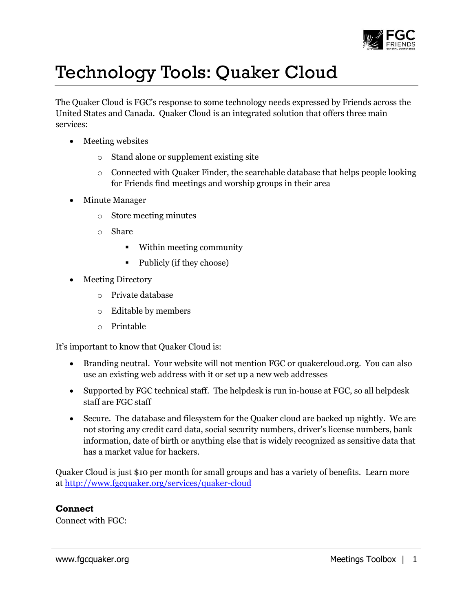

## Technology Tools: Quaker Cloud

The Quaker Cloud is FGC's response to some technology needs expressed by Friends across the United States and Canada. Quaker Cloud is an integrated solution that offers three main services:

- Meeting websites
	- o Stand alone or supplement existing site
	- $\circ$  Connected with Quaker Finder, the searchable database that helps people looking for Friends find meetings and worship groups in their area
- Minute Manager
	- o Store meeting minutes
	- o Share
		- Within meeting community
		- Publicly (if they choose)
- Meeting Directory
	- o Private database
	- o Editable by members
	- o Printable

It's important to know that Quaker Cloud is:

- Branding neutral. Your website will not mention FGC or quakercloud.org. You can also use an existing web address with it or set up a new web addresses
- Supported by FGC technical staff. The helpdesk is run in-house at FGC, so all helpdesk staff are FGC staff
- Secure. The database and filesystem for the Quaker cloud are backed up nightly. We are not storing any credit card data, social security numbers, driver's license numbers, bank information, date of birth or anything else that is widely recognized as sensitive data that has a market value for hackers.

Quaker Cloud is just \$10 per month for small groups and has a variety of benefits. Learn more at<http://www.fgcquaker.org/services/quaker-cloud>

## **Connect**

Connect with FGC: